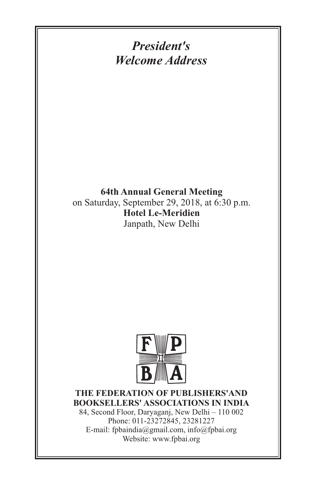*President's Welcome Address*

**64th Annual General Meeting** on Saturday, September 29, 2018, at 6:30 p.m. **Hotel Le-Meridien** Janpath, New Delhi



#### **THE FEDERATION OF PUBLISHERS'AND BOOKSELLERS' ASSOCIATIONS IN INDIA**

84, Second Floor, Daryaganj, New Delhi – 110 002 Phone: 011-23272845, 23281227 E-mail: fpbaindia@gmail.com, info@fpbai.org Website: www.fpbai.org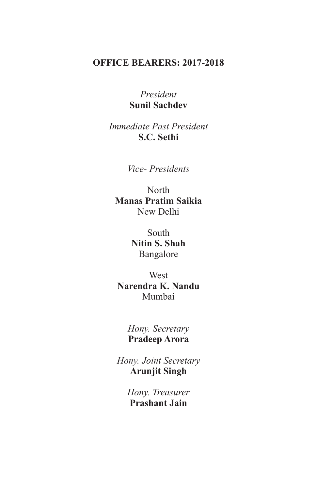### **OFFICE BEARERS: 2017-2018**

#### *President* **Sunil Sachdev**

*Immediate Past President* **S.C. Sethi**

*Vice- Presidents*

North New Delhi **Manas Pratim Saikia**

> South Bangalore **Nitin S. Shah**

**West** Mumbai **Narendra K. Nandu**

> *Hony. Secretary* **Pradeep Arora**

*Hony. Joint Secretary* **Arunjit Singh**

> *Hony. Treasurer* **Prashant Jain**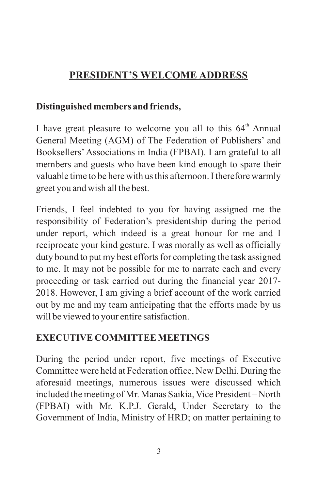# **PRESIDENT'S WELCOME ADDRESS**

### **Distinguished members and friends,**

I have great pleasure to welcome you all to this  $64<sup>th</sup>$  Annual General Meeting (AGM) of The Federation of Publishers' and Booksellers'Associations in India (FPBAI). I am grateful to all members and guests who have been kind enough to spare their valuable time to be here with us this afternoon. I therefore warmly greet you and wish all the best.

Friends, I feel indebted to you for having assigned me the responsibility of Federation's presidentship during the period under report, which indeed is a great honour for me and I reciprocate your kind gesture. I was morally as well as officially duty bound to put my best efforts for completing the task assigned to me. It may not be possible for me to narrate each and every proceeding or task carried out during the financial year 2017- 2018. However, I am giving a brief account of the work carried out by me and my team anticipating that the efforts made by us will be viewed to your entire satisfaction.

# **EXECUTIVE COMMITTEE MEETINGS**

During the period under report, five meetings of Executive Committee were held at Federation office, New Delhi. During the aforesaid meetings, numerous issues were discussed which included the meeting of Mr. Manas Saikia, Vice President – North (FPBAI) with Mr. K.P.J. Gerald, Under Secretary to the Government of India, Ministry of HRD; on matter pertaining to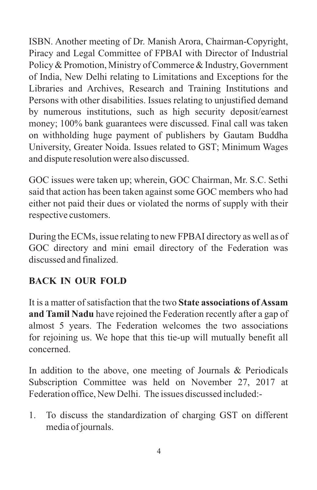ISBN. Another meeting of Dr. Manish Arora, Chairman-Copyright, Piracy and Legal Committee of FPBAI with Director of Industrial Policy & Promotion, Ministry of Commerce & Industry, Government of India, New Delhi relating to Limitations and Exceptions for the Libraries and Archives, Research and Training Institutions and Persons with other disabilities. Issues relating to unjustified demand by numerous institutions, such as high security deposit/earnest money; 100% bank guarantees were discussed. Final call was taken on withholding huge payment of publishers by Gautam Buddha University, Greater Noida. Issues related to GST; Minimum Wages and dispute resolution were also discussed.

GOC issues were taken up; wherein, GOC Chairman, Mr. S.C. Sethi said that action has been taken against some GOC members who had either not paid their dues or violated the norms of supply with their respective customers.

During the ECMs, issue relating to new FPBAI directory as well as of GOC directory and mini email directory of the Federation was discussed and finalized.

### **BACK IN OUR FOLD**

It is a matter of satisfaction that the two **State associations of Assam and Tamil Nadu** have rejoined the Federation recently after a gap of almost 5 years. The Federation welcomes the two associations for rejoining us. We hope that this tie-up will mutually benefit all concerned.

In addition to the above, one meeting of Journals & Periodicals Subscription Committee was held on November 27, 2017 at Federation office, New Delhi. The issues discussed included:-

1. To discuss the standardization of charging GST on different media of journals.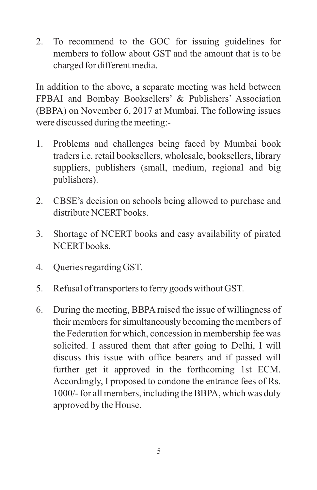2. To recommend to the GOC for issuing guidelines for members to follow about GST and the amount that is to be charged for different media.

In addition to the above, a separate meeting was held between FPBAI and Bombay Booksellers' & Publishers' Association (BBPA) on November 6, 2017 at Mumbai. The following issues were discussed during the meeting:-

- 1. Problems and challenges being faced by Mumbai book traders i.e. retail booksellers, wholesale, booksellers, library suppliers, publishers (small, medium, regional and big publishers).
- 2. CBSE's decision on schools being allowed to purchase and distribute NCERT books
- 3. Shortage of NCERT books and easy availability of pirated NCERT books.
- 4. Queries regarding GST.
- 5. Refusal of transporters to ferry goods without GST.
- 6. During the meeting, BBPA raised the issue of willingness of their members for simultaneously becoming the members of the Federation for which, concession in membership fee was solicited. I assured them that after going to Delhi, I will discuss this issue with office bearers and if passed will further get it approved in the forthcoming 1st ECM. Accordingly, I proposed to condone the entrance fees of Rs. 1000/- for all members, including the BBPA, which was duly approved by the House.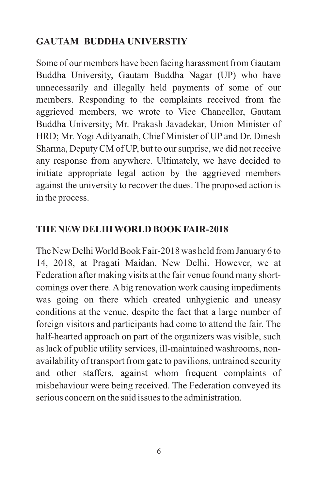## **GAUTAM BUDDHA UNIVERSTIY**

Some of our members have been facing harassment from Gautam Buddha University, Gautam Buddha Nagar (UP) who have unnecessarily and illegally held payments of some of our members. Responding to the complaints received from the aggrieved members, we wrote to Vice Chancellor, Gautam Buddha University; Mr. Prakash Javadekar, Union Minister of HRD; Mr. Yogi Adityanath, Chief Minister of UP and Dr. Dinesh Sharma, Deputy CM of UP, but to our surprise, we did not receive any response from anywhere. Ultimately, we have decided to initiate appropriate legal action by the aggrieved members against the university to recover the dues. The proposed action is in the process.

### **THE NEWDELHI WORLD BOOK FAIR-2018**

The New Delhi World Book Fair-2018 was held from January 6 to 14, 2018, at Pragati Maidan, New Delhi. However, we at Federation after making visits at the fair venue found many shortcomings over there. A big renovation work causing impediments was going on there which created unhygienic and uneasy conditions at the venue, despite the fact that a large number of foreign visitors and participants had come to attend the fair. The half-hearted approach on part of the organizers was visible, such as lack of public utility services, ill-maintained washrooms, nonavailability of transport from gate to pavilions, untrained security and other staffers, against whom frequent complaints of misbehaviour were being received. The Federation conveyed its serious concern on the said issues to the administration.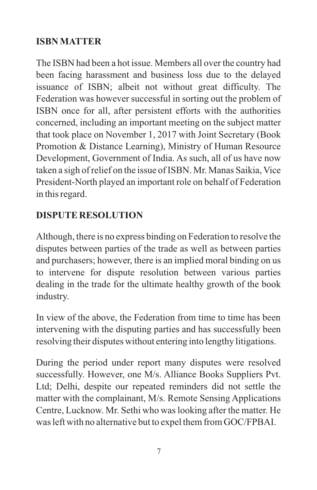### **ISBN MATTER**

The ISBN had been a hot issue. Members all over the country had been facing harassment and business loss due to the delayed issuance of ISBN; albeit not without great difficulty. The Federation was however successful in sorting out the problem of ISBN once for all, after persistent efforts with the authorities concerned, including an important meeting on the subject matter that took place on November 1, 2017 with Joint Secretary (Book Promotion & Distance Learning), Ministry of Human Resource Development, Government of India. As such, all of us have now taken a sigh of relief on the issue of ISBN. Mr. Manas Saikia, Vice President-North played an important role on behalf of Federation in this regard.

## **DISPUTE RESOLUTION**

Although, there is no express binding on Federation to resolve the disputes between parties of the trade as well as between parties and purchasers; however, there is an implied moral binding on us to intervene for dispute resolution between various parties dealing in the trade for the ultimate healthy growth of the book industry.

In view of the above, the Federation from time to time has been intervening with the disputing parties and has successfully been resolving their disputes without entering into lengthy litigations.

During the period under report many disputes were resolved successfully. However, one M/s. Alliance Books Suppliers Pvt. Ltd; Delhi, despite our repeated reminders did not settle the matter with the complainant, M/s. Remote Sensing Applications Centre, Lucknow. Mr. Sethi who was looking after the matter. He was left with no alternative but to expel them from GOC/FPBAI.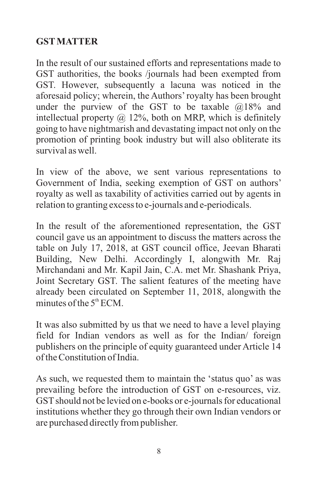### **GSTMATTER**

In the result of our sustained efforts and representations made to GST authorities, the books /journals had been exempted from GST. However, subsequently a lacuna was noticed in the aforesaid policy; wherein, the Authors'royalty has been brought under the purview of the GST to be taxable  $@18\%$  and intellectual property  $\omega$  12%, both on MRP, which is definitely going to have nightmarish and devastating impact not only on the promotion of printing book industry but will also obliterate its survival as well.

In view of the above, we sent various representations to Government of India, seeking exemption of GST on authors' royalty as well as taxability of activities carried out by agents in relation to granting excess to e-journals and e-periodicals.

In the result of the aforementioned representation, the GST council gave us an appointment to discuss the matters across the table on July 17, 2018, at GST council office, Jeevan Bharati Building, New Delhi. Accordingly I, alongwith Mr. Raj Mirchandani and Mr. Kapil Jain, C.A. met Mr. Shashank Priya, Joint Secretary GST. The salient features of the meeting have already been circulated on September 11, 2018, alongwith the minutes of the  $5<sup>th</sup> FCM$ .

It was also submitted by us that we need to have a level playing field for Indian vendors as well as for the Indian/ foreign publishers on the principle of equity guaranteed under Article 14 of the Constitution of India.

As such, we requested them to maintain the 'status quo' as was prevailing before the introduction of GST on e-resources, viz. GST should not be levied on e-books or e-journals for educational institutions whether they go through their own Indian vendors or are purchased directly from publisher.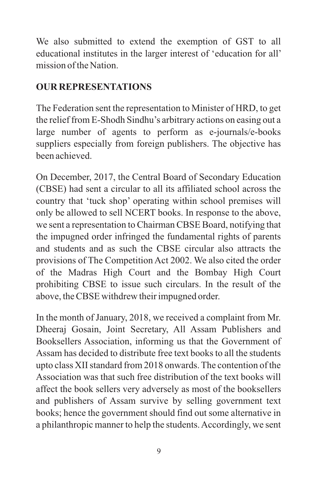We also submitted to extend the exemption of GST to all educational institutes in the larger interest of 'education for all' mission of the Nation.

## **OUR REPRESENTATIONS**

The Federation sent the representation to Minister of HRD, to get the relief from E-Shodh Sindhu's arbitrary actions on easing out a large number of agents to perform as e-journals/e-books suppliers especially from foreign publishers. The objective has been achieved.

On December, 2017, the Central Board of Secondary Education (CBSE) had sent a circular to all its affiliated school across the country that 'tuck shop' operating within school premises will only be allowed to sell NCERT books. In response to the above, we sent a representation to Chairman CBSE Board, notifying that the impugned order infringed the fundamental rights of parents and students and as such the CBSE circular also attracts the provisions of The Competition Act 2002. We also cited the order of the Madras High Court and the Bombay High Court prohibiting CBSE to issue such circulars. In the result of the above, the CBSE withdrew their impugned order.

In the month of January, 2018, we received a complaint from Mr. Dheeraj Gosain, Joint Secretary, All Assam Publishers and Booksellers Association, informing us that the Government of Assam has decided to distribute free text books to all the students upto class XII standard from 2018 onwards. The contention of the Association was that such free distribution of the text books will affect the book sellers very adversely as most of the booksellers and publishers of Assam survive by selling government text books; hence the government should find out some alternative in a philanthropic manner to help the students. Accordingly, we sent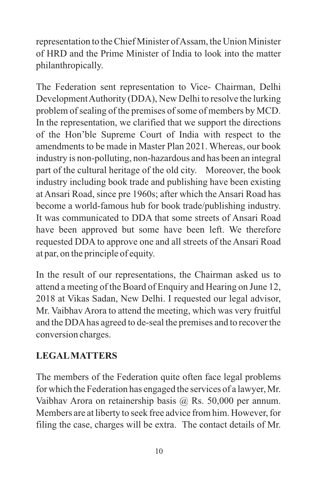representation to the Chief Minister of Assam, the Union Minister of HRD and the Prime Minister of India to look into the matter philanthropically.

The Federation sent representation to Vice- Chairman, Delhi Development Authority (DDA), New Delhi to resolve the lurking problem of sealing of the premises of some of members by MCD. In the representation, we clarified that we support the directions of the Hon'ble Supreme Court of India with respect to the amendments to be made in Master Plan 2021. Whereas, our book industry is non-polluting, non-hazardous and has been an integral part of the cultural heritage of the old city. Moreover, the book industry including book trade and publishing have been existing at Ansari Road, since pre 1960s; after which the Ansari Road has become a world-famous hub for book trade/publishing industry. It was communicated to DDA that some streets of Ansari Road have been approved but some have been left. We therefore requested DDA to approve one and all streets of the Ansari Road at par, on the principle of equity.

In the result of our representations, the Chairman asked us to attend a meeting of the Board of Enquiry and Hearing on June 12, 2018 at Vikas Sadan, New Delhi. I requested our legal advisor, Mr. Vaibhav Arora to attend the meeting, which was very fruitful and the DDAhas agreed to de-seal the premises and to recover the conversion charges.

# **LEGALMATTERS**

The members of the Federation quite often face legal problems for which the Federation has engaged the services of a lawyer, Mr. Vaibhav Arora on retainership basis @ Rs. 50,000 per annum. Members are at liberty to seek free advice from him. However, for filing the case, charges will be extra. The contact details of Mr.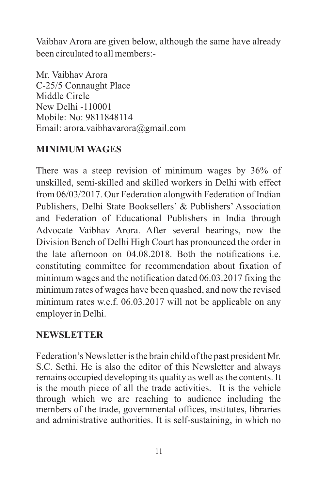Vaibhav Arora are given below, although the same have already been circulated to all members:-

Mr. Vaibhav Arora C-25/5 Connaught Place Middle Circle New Delhi -110001 Mobile: No: 9811848114 Email: arora.vaibhavarora@gmail.com

### **MINIMUM WAGES**

There was a steep revision of minimum wages by 36% of unskilled, semi-skilled and skilled workers in Delhi with effect from 06/03/2017. Our Federation alongwith Federation of Indian Publishers, Delhi State Booksellers' & Publishers' Association and Federation of Educational Publishers in India through Advocate Vaibhav Arora. After several hearings, now the Division Bench of Delhi High Court has pronounced the order in the late afternoon on 04.08.2018. Both the notifications i.e. constituting committee for recommendation about fixation of minimum wages and the notification dated 06.03.2017 fixing the minimum rates of wages have been quashed, and now the revised minimum rates w.e.f. 06.03.2017 will not be applicable on any employer in Delhi.

### **NEWSLETTER**

Federation's Newsletter is the brain child of the past president Mr. S.C. Sethi. He is also the editor of this Newsletter and always remains occupied developing its quality as well as the contents. It is the mouth piece of all the trade activities. It is the vehicle through which we are reaching to audience including the members of the trade, governmental offices, institutes, libraries and administrative authorities. It is self-sustaining, in which no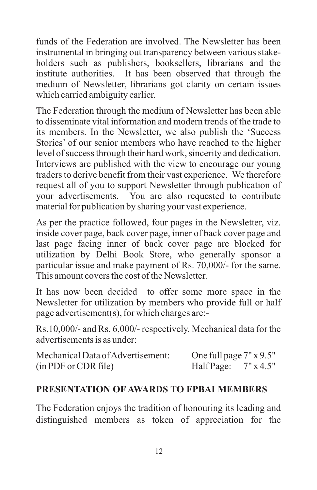funds of the Federation are involved. The Newsletter has been instrumental in bringing out transparency between various stakeholders such as publishers, booksellers, librarians and the institute authorities. It has been observed that through the medium of Newsletter, librarians got clarity on certain issues which carried ambiguity earlier.

The Federation through the medium of Newsletter has been able to disseminate vital information and modern trends of the trade to its members. In the Newsletter, we also publish the 'Success Stories' of our senior members who have reached to the higher level of success through their hard work, sincerity and dedication. Interviews are published with the view to encourage our young traders to derive benefit from their vast experience. We therefore request all of you to support Newsletter through publication of your advertisements. You are also requested to contribute material for publication by sharing your vast experience.

As per the practice followed, four pages in the Newsletter, viz. inside cover page, back cover page, inner of back cover page and last page facing inner of back cover page are blocked for utilization by Delhi Book Store, who generally sponsor a particular issue and make payment of Rs. 70,000/- for the same. This amount covers the cost of the Newsletter.

It has now been decided to offer some more space in the Newsletter for utilization by members who provide full or half page advertisement(s), for which charges are:-

Rs.10,000/- and Rs. 6,000/- respectively. Mechanical data for the advertisements is as under:

| Mechanical Data of Advertisement: | One full page $7" \times 9.5"$ |  |
|-----------------------------------|--------------------------------|--|
| (in PDF or CDR file)              | HalfPage: $7" \times 4.5"$     |  |

#### **PRESENTATION OF AWARDS TO FPBAI MEMBERS**

The Federation enjoys the tradition of honouring its leading and distinguished members as token of appreciation for the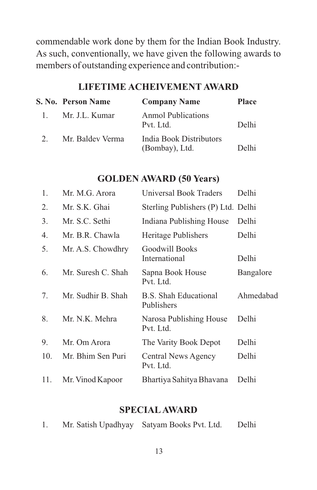commendable work done by them for the Indian Book Industry. As such, conventionally, we have given the following awards to members of outstanding experience and contribution:-

|              | S. No. Person Name | <b>Company Name</b>                       | <b>Place</b> |
|--------------|--------------------|-------------------------------------------|--------------|
| $\mathbf{L}$ | Mr. J.L. Kumar     | <b>Anmol Publications</b><br>Pvt. Ltd.    | Delhi        |
|              | Mr. Baldev Verma   | India Book Distributors<br>(Bombay), Ltd. | Delhi        |

#### **LIFETIME ACHEIVEMENT AWARD**

#### **GOLDEN AWARD (50 Years)**

| 1.  | Mr. M.G. Arora     | Universal Book Traders               | Delhi     |
|-----|--------------------|--------------------------------------|-----------|
| 2.  | Mr. S.K. Ghai      | Sterling Publishers (P) Ltd. Delhi   |           |
| 3.  | Mr. S.C. Sethi     | Indiana Publishing House             | Delhi     |
| 4.  | Mr. B.R. Chawla    | Heritage Publishers                  | Delhi     |
| 5.  | Mr. A.S. Chowdhry  | Goodwill Books<br>International      | Delhi     |
| 6.  | Mr. Suresh C. Shah | Sapna Book House<br>Pvt. Ltd.        | Bangalore |
| 7.  | Mr. Sudhir B. Shah | B.S. Shah Educational<br>Publishers  | Ahmedabad |
| 8.  | Mr. N.K. Mehra     | Narosa Publishing House<br>Pvt. Ltd. | Delhi     |
| 9.  | Mr. Om Arora       | The Varity Book Depot                | Delhi     |
| 10. | Mr. Bhim Sen Puri  | Central News Agency<br>Pvt. Ltd.     | Delhi     |
| 11. | Mr. Vinod Kapoor   | Bhartiya Sahitya Bhavana             | Delhi     |

#### **SPECIALAWARD**

|  | Mr. Satish Upadhyay | Satyam Books Pvt. Ltd. | Delhi |
|--|---------------------|------------------------|-------|
|--|---------------------|------------------------|-------|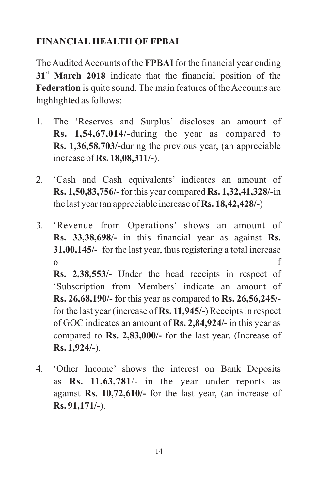## **FINANCIAL HEALTH OF FPBAI**

The Audited Accounts of the **FPBAI**for the financial year ending **st 31 March 2018** indicate that the financial position of the **Federation** is quite sound. The main features of the Accounts are highlighted as follows:

- 1. The 'Reserves and Surplus' discloses an amount of **Rs. 1,54,67,014/-**during the year as compared to **Rs. 1,36,58,703/-**during the previous year, (an appreciable increase of **Rs. 18,08,311/-**).
- 2. 'Cash and Cash equivalents' indicates an amount of **Rs. 1,50,83,756/-** for this year compared **Rs. 1,32,41,328/-**in the last year (an appreciable increase of **Rs. 18,42,428/-**)
- 3. 'Revenue from Operations' shows an amount of **Rs. 33,38,698/-** in this financial year as against **Rs. 31,00,145/-** for the last year, thus registering a total increase o f

**Rs. 2,38,553/-** Under the head receipts in respect of 'Subscription from Members' indicate an amount of **Rs. 26,68,190/-** for this year as compared to **Rs. 26,56,245/** for the last year (increase of **Rs. 11,945/-**) Receipts in respect of GOC indicates an amount of **Rs. 2,84,924/-** in this year as compared to **Rs. 2,83,000/-** for the last year. (Increase of **Rs. 1,924/-**).

4. 'Other Income' shows the interest on Bank Deposits as **Rs. 11,63,781**/- in the year under reports as against **Rs. 10,72,610/-** for the last year, (an increase of **Rs. 91,171/-**).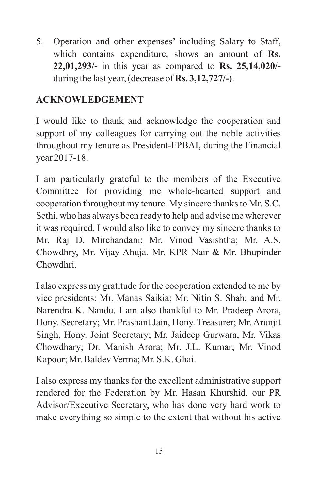5. Operation and other expenses' including Salary to Staff, which contains expenditure, shows an amount of **Rs. 22,01,293/-** in this year as compared to **Rs. 25,14,020/** during the last year, (decrease of **Rs. 3,12,727/-**).

## **ACKNOWLEDGEMENT**

I would like to thank and acknowledge the cooperation and support of my colleagues for carrying out the noble activities throughout my tenure as President-FPBAI, during the Financial year 2017-18.

I am particularly grateful to the members of the Executive Committee for providing me whole-hearted support and cooperation throughout my tenure. My sincere thanks to Mr. S.C. Sethi, who has always been ready to help and advise me wherever it was required. I would also like to convey my sincere thanks to Mr. Raj D. Mirchandani; Mr. Vinod Vasishtha; Mr. A.S. Chowdhry, Mr. Vijay Ahuja, Mr. KPR Nair & Mr. Bhupinder Chowdhri.

I also express my gratitude for the cooperation extended to me by vice presidents: Mr. Manas Saikia; Mr. Nitin S. Shah; and Mr. Narendra K. Nandu. I am also thankful to Mr. Pradeep Arora, Hony. Secretary; Mr. Prashant Jain, Hony. Treasurer; Mr. Arunjit Singh, Hony. Joint Secretary; Mr. Jaideep Gurwara, Mr. Vikas Chowdhary; Dr. Manish Arora; Mr. J.L. Kumar; Mr. Vinod Kapoor; Mr. Baldev Verma; Mr. S.K. Ghai.

I also express my thanks for the excellent administrative support rendered for the Federation by Mr. Hasan Khurshid, our PR Advisor/Executive Secretary, who has done very hard work to make everything so simple to the extent that without his active